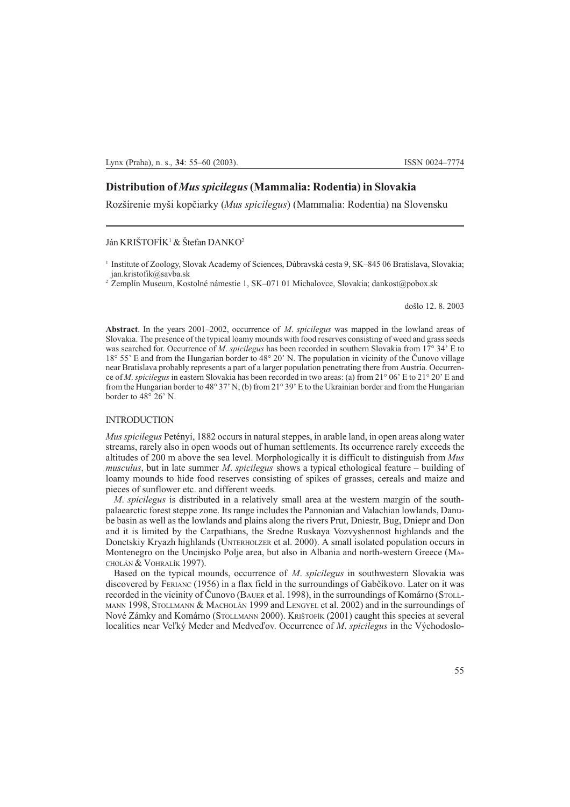# Distribution of Mus spicilegus (Mammalia: Rodentia) in Slovakia

Rozšírenie myši kopčiarky (Mus spicilegus) (Mammalia: Rodentia) na Slovensku

# Ján KRIŠTOFÍK<sup>1</sup> & Štefan DANKO<sup>2</sup>

<sup>2</sup> Zemplín Museum, Kostolné námestie 1, SK-071 01 Michalovce, Slovakia; dankost@pobox.sk

došlo 12. 8. 2003

Abstract. In the years  $2001-2002$ , occurrence of *M. spicilegus* was mapped in the lowland areas of Slovakia. The presence of the typical loamy mounds with food reserves consisting of weed and grass seeds was searched for. Occurrence of M. spicilegus has been recorded in southern Slovakia from 17° 34' E to 18° 55 E and from the Hungarian border to 48° 20 N. The population in vicinity of the Èunovo village near Bratislava probably represents a part of a larger population penetrating there from Austria. Occurrence of M. spicilegus in eastern Slovakia has been recorded in two areas: (a) from  $21^{\circ}$  06' E to  $21^{\circ}$  20' E and from the Hungarian border to 48° 37' N; (b) from 21° 39' E to the Ukrainian border and from the Hungarian border to  $48^{\circ}$  26' N.

#### INTRODUCTION

Mus spicilegus Petényi, 1882 occurs in natural steppes, in arable land, in open areas along water streams, rarely also in open woods out of human settlements. Its occurrence rarely exceeds the altitudes of 200 m above the sea level. Morphologically it is difficult to distinguish from Mus musculus, but in late summer M. spicilegus shows a typical ethological feature  $-$  building of loamy mounds to hide food reserves consisting of spikes of grasses, cereals and maize and pieces of sunflower etc. and different weeds.

M. spicilegus is distributed in a relatively small area at the western margin of the southpalaearctic forest steppe zone. Its range includes the Pannonian and Valachian lowlands, Danube basin as well as the lowlands and plains along the rivers Prut, Dniestr, Bug, Dniepr and Don and it is limited by the Carpathians, the Sredne Ruskaya Vozvyshennost highlands and the Donetskiy Kryazh highlands (UNTERHOLZER et al. 2000). A small isolated population occurs in Montenegro on the Uncinjsko Polje area, but also in Albania and north-western Greece (MA-CHOLÁN & VOHRALÍK 1997).

Based on the typical mounds, occurrence of M. spicilegus in southwestern Slovakia was discovered by FERIANC (1956) in a flax field in the surroundings of Gabèíkovo. Later on it was recorded in the vicinity of Èunovo (BAUER et al. 1998), in the surroundings of Komárno (STOLL-MANN 1998, STOLLMANN & MACHOLÁN 1999 and LENGYEL et al. 2002) and in the surroundings of Nové Zámky and Komárno (STOLLMANN 2000). KRIŠTOFÍK (2001) caught this species at several localities near Veľký Meder and Medveďov. Occurrence of M. spicilegus in the Východoslo-

<sup>&</sup>lt;sup>1</sup> Institute of Zoology, Slovak Academy of Sciences, Dúbravská cesta 9, SK–845 06 Bratislava, Slovakia; jan.kristofik@savba.sk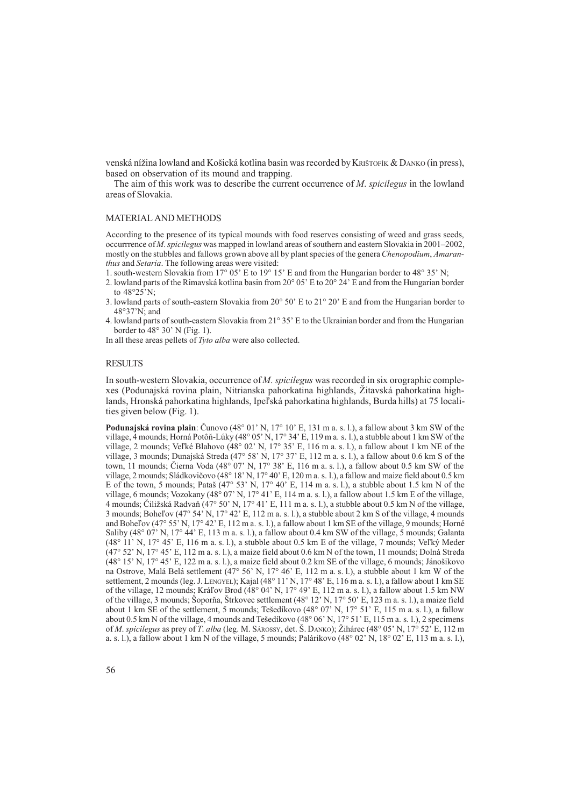venská nížina lowland and Košická kotlina basin was recorded by Krištofík & DANKO (in press), based on observation of its mound and trapping.

The aim of this work was to describe the current occurrence of M. spicilegus in the lowland areas of Slovakia.

## MATERIAL AND METHODS

According to the presence of its typical mounds with food reserves consisting of weed and grass seeds, occurrence of *M. spicilegus* was mapped in lowland areas of southern and eastern Slovakia in  $2001-2002$ , mostly on the stubbles and fallows grown above all by plant species of the genera *Chenopodium*, *Amaran*thus and Setaria. The following areas were visited:

- 1. south-western Slovakia from  $17^{\circ}$  05' E to  $19^{\circ}$  15' E and from the Hungarian border to 48 $^{\circ}$  35' N;
- 2. lowland parts of the Rimavská kotlina basin from  $20^{\circ}$  05' E to  $20^{\circ}$  24' E and from the Hungarian border to  $48^{\circ}25^{\prime}$ N;
- 3. lowland parts of south-eastern Slovakia from  $20^{\circ}$  50' E to  $21^{\circ}$  20' E and from the Hungarian border to 48°37N; and
- 4. lowland parts of south-eastern Slovakia from 21° 35 E to the Ukrainian border and from the Hungarian border to  $48^\circ$  30' N (Fig. 1).

In all these areas pellets of Tyto alba were also collected.

## **RESULTS**

In south-western Slovakia, occurrence of M. spicilegus was recorded in six orographic complexes (Podunajská rovina plain, Nitrianska pahorkatina highlands, Žitavská pahorkatina highlands, Hronská pahorkatina highlands, Ipeľská pahorkatina highlands, Burda hills) at 75 localities given below (Fig. 1).

**Podunajská rovina plain**: Čunovo (48° 01' N, 17° 10' E, 131 m a. s. l.), a fallow about 3 km SW of the village, 4 mounds; Horná Potôň-Lúky (48° 05' N, 17° 34' E, 119 m a. s. l.), a stubble about 1 km SW of the village, 2 mounds; Veľké Blahovo (48° 02' N, 17° 35' E, 116 m a. s. l.), a fallow about 1 km NE of the village, 3 mounds; Dunajská Streda (47° 58 N, 17° 37 E, 112 m a. s. l.), a fallow about 0.6 km S of the town, 11 mounds; Čierna Voda (48° 07' N, 17° 38' E, 116 m a. s. l.), a fallow about 0.5 km SW of the village, 2 mounds; Sládkovičovo (48° 18' N, 17° 40' E, 120 m a. s. l.), a fallow and maize field about 0.5 km E of the town, 5 mounds; Pataš  $(47^{\circ} 53' N, 17^{\circ} 40' E, 114 m a. s. l.)$ , a stubble about 1.5 km N of the village, 6 mounds; Vozokany (48° 07' N, 17° 41' E, 114 m a. s. l.), a fallow about 1.5 km E of the village, 4 mounds; Èiliská Radvaò (47° 50 N, 17° 41 E, 111 m a. s. l.), a stubble about 0.5 km N of the village, 3 mounds; Bohel'ov  $(47° 54' N, 17° 42' E, 112 m a. s. l.)$ , a stubble about 2 km S of the village, 4 mounds and Bohel'ov (47° 55' N, 17° 42' E, 112 m a. s. l.), a fallow about 1 km SE of the village, 9 mounds; Horné Saliby (48 $^{\circ}$  07' N, 17 $^{\circ}$  44' E, 113 m a. s. l.), a fallow about 0.4 km SW of the village, 5 mounds; Galanta  $(48^{\circ} 11' N, 17^{\circ} 45' E, 116 m a. s. l.),$  a stubble about 0.5 km E of the village, 7 mounds; Velký Meder  $(47^{\circ} 52' N, 17^{\circ} 45' E, 112 m a. s. 1)$ , a maize field about 0.6 km N of the town, 11 mounds; Dolná Streda (48° 15' N, 17° 45' E, 122 m a. s. l.), a maize field about 0.2 km SE of the village, 6 mounds; Jánošikovo na Ostrove, Malá Belá settlement (47° 56 N, 17° 46 E, 112 m a. s. l.), a stubble about 1 km W of the settlement, 2 mounds (leg. J. LENGYEL); Kajal (48° 11' N, 17° 48' E, 116 m a. s. l.), a fallow about 1 km SE of the village, 12 mounds; Kráľov Brod (48° 04' N, 17° 49' E, 112 m a. s. l.), a fallow about 1.5 km NW of the village, 3 mounds; Soporňa, Štrkovec settlement (48° 12' N, 17° 50' E, 123 m a. s. l.), a maize field about 1 km SE of the settlement, 5 mounds; Tesedíkovo  $(48^{\circ} 07 \text{ N}, 17^{\circ} 51 \text{ E}, 115 \text{ m a. s. l.})$ , a fallow about 0.5 km N of the village, 4 mounds and Tešedíkovo (48 $\degree$  06' N, 17 $\degree$  51' E, 115 m a. s. l.), 2 specimens of M. spicilegus as prey of T. alba (leg. M. SÁROSSY, det. S. DANKO); Žihárec (48° 05' N, 17° 52' E, 112 m a. s. l.), a fallow about 1 km N of the village, 5 mounds; Palárikovo (48° 02 N, 18° 02 E, 113 m a. s. l.),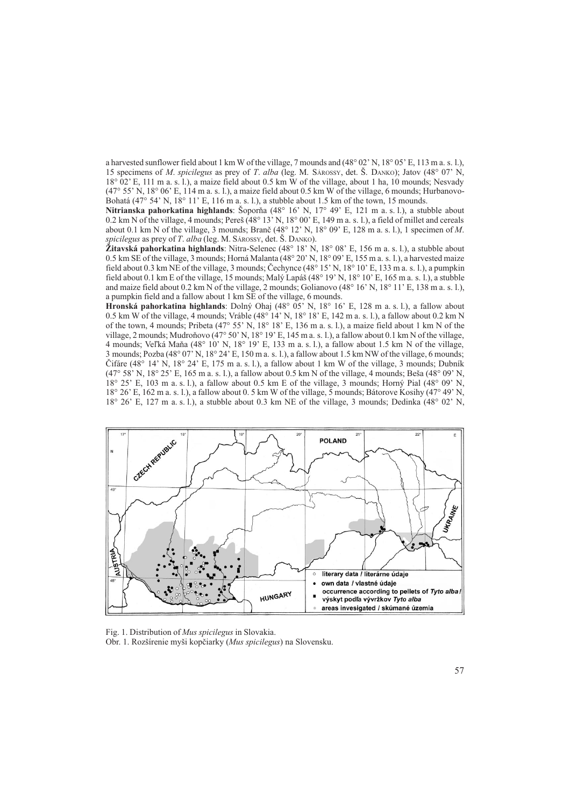a harvested sunflower field about 1 km W of the village, 7 mounds and  $(48^{\circ} 02' N, 18^{\circ} 05' E, 113 m a. s. 1)$ , 15 specimens of M. spicilegus as prey of T. alba (leg. M. SAROSSY, det.  $\check{S}$ . DANKO); Jatov (48° 07' N, 18° 02 E, 111 m a. s. l.), a maize field about 0.5 km W of the village, about 1 ha, 10 mounds; Nesvady  $(47° 55' N, 18° 06' E, 114 m a. s. 1)$ , a maize field about 0.5 km W of the village, 6 mounds; Hurbanovo-Bohatá  $(47^{\circ} 54^{\circ} N, 18^{\circ} 11^{\circ} E, 116 m \text{ a. s. } 1)$ , a stubble about 1.5 km of the town, 15 mounds.

Nitrianska pahorkatina highlands: Šoporňa (48 $^{\circ}$  16' N, 17 $^{\circ}$  49' E, 121 m a.s. l.), a stubble about 0.2 km N of the village, 4 mounds; Pereš  $(48^{\circ} 13' N, 18^{\circ} 00' E, 149 m a. s. 1)$ , a field of millet and cereals about 0.1 km N of the village, 3 mounds; Branč  $(48^{\circ} 12^{\circ}$  N,  $18^{\circ} 09^{\circ}$  E,  $128$  m a. s. l.), 1 specimen of M. spicilegus as prey of T. alba (leg. M. SÁROSSY, det.  $\check{S}$ , DANKO).

 $\check{Z}$ itavská pahorkatina highlands: Nitra-Selenec (48° 18' N, 18° 08' E, 156 m a. s. l.), a stubble about 0.5 km SE of the village, 3 mounds; Horná Malanta (48° 20' N, 18° 09' E, 155 m a. s. l.), a harvested maize field about 0.3 km NE of the village, 3 mounds; Čechynce  $(48^{\circ} 15^{\circ} N, 18^{\circ} 10^{\circ} E, 133 m$  a. s. l.), a pumpkin field about 0.1 km E of the village, 15 mounds; Malý Lapáš (48° 19' N, 18° 10' E, 165 m a. s. l.), a stubble and maize field about 0.2 km N of the village, 2 mounds; Golianovo  $(48^{\circ} 16' N, 18^{\circ} 11' E, 138 m a. s. 1)$ , a pumpkin field and a fallow about 1 km SE of the village, 6 mounds.

Hronská pahorkatina highlands: Dolný Ohaj (48° 05 N, 18° 16 E, 128 m a. s. l.), a fallow about 0.5 km W of the village, 4 mounds; Vráble (48 $\degree$  14' N, 18 $\degree$  18' E, 142 m a. s. l.), a fallow about 0.2 km N of the town, 4 mounds; Pribeta (47° 55' N, 18° 18' E, 136 m a. s. l.), a maize field about 1 km N of the village, 2 mounds; Mudroňovo (47° 50' N, 18° 19' E, 145 m a. s. l.), a fallow about 0.1 km N of the village, 4 mounds; Veľká Maňa  $(48^{\circ} 10' N, 18^{\circ} 19' E, 133 m a. s. 1)$ , a fallow about 1.5 km N of the village, 3 mounds; Pozba (48° 07 N, 18° 24 E, 150 m a. s. l.), a fallow about 1.5 km NW of the village, 6 mounds; Čifáre (48° 14' N, 18° 24' E, 175 m a. s. l.), a fallow about 1 km W of the village, 3 mounds; Dubník  $(47^{\circ} 58' \text{ N}, 18^{\circ} 25' \text{ E}, 165 \text{ m a. s. l.})$ , a fallow about 0.5 km N of the village, 4 mounds; Beša  $(48^{\circ} 09' \text{ N},$  $18^{\circ}$  25' E, 103 m a. s. l.), a fallow about 0.5 km E of the village, 3 mounds; Horný Pial (48° 09' N, 18° 26 E, 162 m a. s. l.), a fallow about 0. 5 km W of the village, 5 mounds; Bátorove Kosihy (47° 49 N,  $18^{\circ}$  26' E, 127 m a. s. l.), a stubble about 0.3 km NE of the village, 3 mounds; Dedinka (48 $^{\circ}$  02' N,



Fig. 1. Distribution of Mus spicilegus in Slovakia. Obr. 1. Rozšírenie myši kopčiarky (Mus spicilegus) na Slovensku.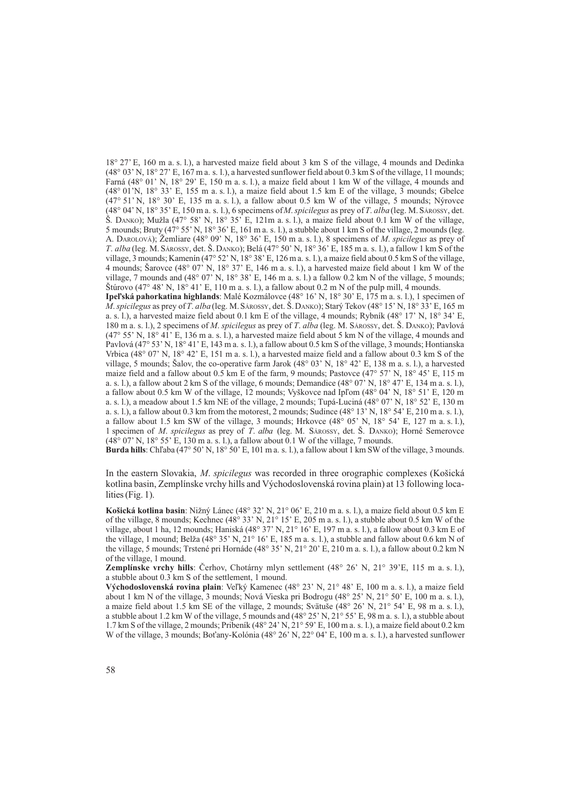18° 27 E, 160 m a. s. l.), a harvested maize field about 3 km S of the village, 4 mounds and Dedinka  $(48^{\circ} 03' N, 18^{\circ} 27' E, 167 m a. s. 1)$ , a harvested sunflower field about 0.3 km S of the village, 11 mounds; Farná (48° 01' N, 18° 29' E, 150 m a. s. l.), a maize field about 1 km W of the village, 4 mounds and  $(48^{\circ} 01^{\prime}$ N,  $18^{\circ} 33^{\prime}$  E, 155 m a. s. l.), a maize field about 1.5 km E of the village, 3 mounds; Gbelce  $(47^{\circ} 51' N, 18^{\circ} 30' E, 135 m a.s. l.),$  a fallow about 0.5 km W of the village, 5 mounds; Nýrovce  $(48^{\circ} 04' N, 18^{\circ} 35' E, 150 m a. s. l.),$  6 specimens of *M. spicilegus* as prey of *T. alba* (leg. M. SÁROSSY, det.  $\check{S}$ . DANKO); Mužla (47° 58' N, 18° 35' E, 121m a. s. l.), a maize field about 0.1 km W of the village, 5 mounds; Bruty (47° 55 N, 18° 36 E, 161 m a. s. l.), a stubble about 1 km S of the village, 2 mounds (leg. A. DAROLOVÁ); Žemliare (48° 09' N, 18° 36' E, 150 m a. s. l.), 8 specimens of M. spicilegus as prey of T. alba (leg. M. SÁROSSY, det. Š. DANKO); Belá (47° 50' N, 18° 36' E, 185 m a. s. l.), a fallow 1 km S of the village, 3 mounds; Kamenín (47° 52' N, 18° 38' E, 126 m a. s. l.), a maize field about 0.5 km S of the village, 4 mounds; Sarovce (48° 07' N, 18° 37' E, 146 m a. s. l.), a harvested maize field about 1 km W of the village, 7 mounds and  $(48^{\circ} 07 \text{ N}, 18^{\circ} 38 \text{ T}, 146 \text{ m}$  a. s. l.) a fallow 0.2 km N of the village, 5 mounds; Stúrovo (47° 48' N, 18° 41' E, 110 m a. s. l.), a fallow about 0.2 m N of the pulp mill, 4 mounds. Ipeľská pahorkatina highlands: Malé Kozmálovce (48° 16' N, 18° 30' E, 175 m a. s. l.), 1 specimen of *M. spicilegus* as prey of T. alba (leg. M. SAROSSY, det.  $\breve{S}$ . DANKO); Starý Tekov (48° 15' N, 18° 33' E, 165 m a. s. l.), a harvested maize field about 0.1 km E of the village, 4 mounds; Rybník (48° 17 N, 18° 34 E, 180 m a. s. l.), 2 specimens of M. spicilegus as prey of T. alba (leg. M. SAROSSY, det. Š. DANKO); Pavlová  $(47^{\circ} 55' N, 18^{\circ} 41' E, 136 m a. s. 1)$ , a harvested maize field about 5 km N of the village, 4 mounds and Pavlová (47° 53' N, 18° 41' E, 143 m a. s. l.), a fallow about 0.5 km S of the village, 3 mounds; Hontianska Vrbica (48 $^{\circ}$  07' N, 18 $^{\circ}$  42' E, 151 m a. s. l.), a harvested maize field and a fallow about 0.3 km S of the village, 5 mounds; Šalov, the co-operative farm Jarok (48 $^{\circ}$  03' N, 18 $^{\circ}$  42' E, 138 m a. s. l.), a harvested maize field and a fallow about 0.5 km E of the farm, 9 mounds; Pastovce  $(47^{\circ} 57' N, 18^{\circ} 45' E, 115 m)$ a. s. l.), a fallow about 2 km S of the village, 6 mounds; Demandice  $(48^{\circ} 07^{\circ} N, 18^{\circ} 47^{\circ} E, 134 m a. s. l.),$ a fallow about 0.5 km W of the village, 12 mounds; Vyškovce nad Ipľom (48 $^{\circ}$  04' N, 18 $^{\circ}$  51' E, 120 m a. s. l.), a meadow about 1.5 km NE of the village, 2 mounds; Tupá-Luciná (48° 07' N, 18° 52' E, 130 m a. s. l.), a fallow about 0.3 km from the motorest, 2 mounds; Sudince  $(48^{\circ} 13^{\circ} N, 18^{\circ} 54^{\circ} E, 210 m a. s. 1)$ , a fallow about 1.5 km SW of the village, 3 mounds; Hrkovce  $(48^{\circ} 05' N, 18^{\circ} 54' E, 127 m a. s. 1)$ , 1 specimen of M. spicilegus as prey of T. alba (leg. M. SAROSSY, det.  $\dot{S}$ . DANKO); Horné Semerovce (48° 07 N, 18° 55 E, 130 m a. s. l.), a fallow about 0.1 W of the village, 7 mounds.

Burda hills: Chľaba (47° 50' N, 18° 50' E, 101 m a. s. l.), a fallow about 1 km SW of the village, 3 mounds.

In the eastern Slovakia, M. spicilegus was recorded in three orographic complexes (Košická kotlina basin, Zemplínske vrchy hills and Východoslovenská rovina plain) at 13 following localities (Fig. 1).

Košická kotlina basin: Nižný Lánec (48° 32' N, 21° 06' E, 210 m a. s. l.), a maize field about 0.5 km E of the village, 8 mounds; Kechnec  $(48^{\circ} 33' N, 21^{\circ} 15' E, 205 m a. s. 1)$ , a stubble about 0.5 km W of the village, about 1 ha, 12 mounds; Haniská (48° 37' N, 21° 16' E, 197 m a. s. l.), a fallow about 0.3 km E of the village, 1 mound; Belža (48° 35' N, 21° 16' E, 185 m a. s. l.), a stubble and fallow about 0.6 km N of the village, 5 mounds; Trstené pri Hornáde (48° 35' N, 21° 20' E, 210 m a. s. l.), a fallow about 0.2 km N of the village, 1 mound.

Zemplínske vrchy hills: Èerhov, Chotárny mlyn settlement (48° 26 N, 21° 39E, 115 m a. s. l.), a stubble about 0.3 km S of the settlement, 1 mound.

Východoslovenská rovina plain: Veľký Kamenec (48° 23' N, 21° 48' E, 100 m a. s. l.), a maize field about 1 km N of the village, 3 mounds; Nová Vieska pri Bodrogu  $(48^{\circ} 25' N, 21^{\circ} 50' E, 100 m a. s. l.).$ a maize field about 1.5 km SE of the village, 2 mounds; Svätuše (48° 26' N, 21° 54' E, 98 m a. s. l.), a stubble about 1.2 km W of the village, 5 mounds and  $(48^{\circ} 25' N, 21^{\circ} 55' E, 98 m a. s. 1)$ , a stubble about 1.7 km S of the village, 2 mounds; Pribeník (48 $^{\circ}$  24' N, 21 $^{\circ}$  59' E, 100 m a. s. l.), a maize field about 0.2 km W of the village, 3 mounds; Bot'any-Kolónia (48 $^{\circ}$  26' N, 22 $^{\circ}$  04' E, 100 m a. s. l.), a harvested sunflower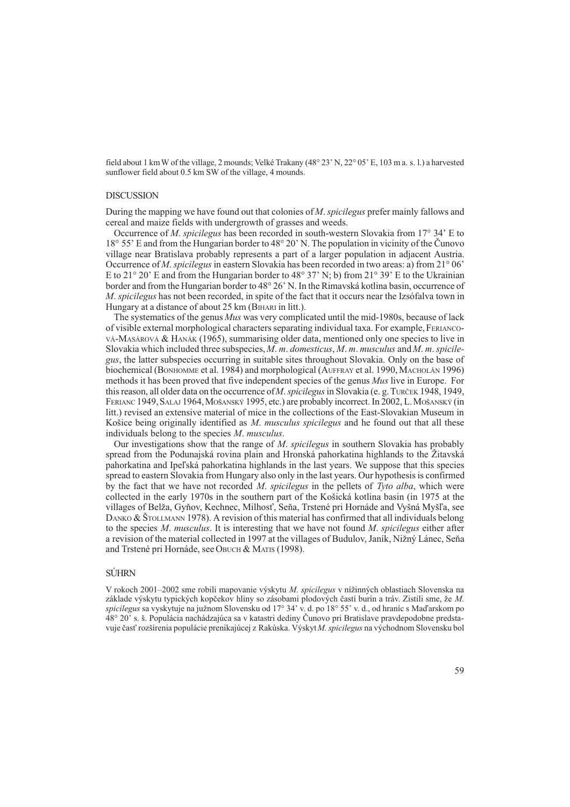field about 1 km W of the village, 2 mounds; Velké Trakany  $(48^{\circ} 23' N, 22^{\circ} 05' E, 103 m a. s. 1)$  a harvested sunflower field about 0.5 km SW of the village, 4 mounds.

### **DISCUSSION**

During the mapping we have found out that colonies of M. spicilegus prefer mainly fallows and cereal and maize fields with undergrowth of grasses and weeds.

Occurrence of *M. spicilegus* has been recorded in south-western Slovakia from  $17^{\circ}$  34' E to 18° 55 E and from the Hungarian border to 48° 20 N. The population in vicinity of the Èunovo village near Bratislava probably represents a part of a larger population in adjacent Austria. Occurrence of *M. spicilegus* in eastern Slovakia has been recorded in two areas: a) from  $21^{\circ}$  06' E to 21° 20' E and from the Hungarian border to 48° 37' N; b) from 21° 39' E to the Ukrainian border and from the Hungarian border to 48° 26' N. In the Rimavská kotlina basin, occurrence of M. spicilegus has not been recorded, in spite of the fact that it occurs near the Izsófalva town in Hungary at a distance of about 25 km (BIHARI in litt.).

The systematics of the genus *Mus* was very complicated until the mid-1980s, because of lack of visible external morphological characters separating individual taxa. For example, FERIANCO-VÁ-MASÁROVÁ & HANÁK (1965), summarising older data, mentioned only one species to live in Slovakia which included three subspecies,  $M$ ,  $m$ , domesticus,  $M$ ,  $m$ , musculus and  $M$ ,  $m$ , spicilegus, the latter subspecies occurring in suitable sites throughout Slovakia. Only on the base of biochemical (BONHOMME et al. 1984) and morphological (AUFFRAY et al. 1990, MACHOLÁN 1996) methods it has been proved that five independent species of the genus *Mus* live in Europe. For this reason, all older data on the occurrence of *M. spicilegus* in Slovakia (e. g. TURČEK 1948, 1949, FERIANC 1949, SALAJ 1964, MOŠANSKÝ 1995, etc.) are probably incorrect. In 2002, L. MOŠANSKÝ (in litt.) revised an extensive material of mice in the collections of the East-Slovakian Museum in Košice being originally identified as M. musculus spicilegus and he found out that all these individuals belong to the species M. musculus.

Our investigations show that the range of  $M$ . spicilegus in southern Slovakia has probably spread from the Podunajská rovina plain and Hronská pahorkatina highlands to the Žitavská pahorkatina and Ipel'ská pahorkatina highlands in the last years. We suppose that this species spread to eastern Slovakia from Hungary also only in the last years. Our hypothesis is confirmed by the fact that we have not recorded  $M$ . spicilegus in the pellets of Tyto alba, which were collected in the early 1970s in the southern part of the Košická kotlina basin (in 1975 at the villages of Belža, Gyňov, Kechnec, Milhosť, Seňa, Trstené pri Hornáde and Vyšná Myšľa, see DANKO & STOLLMANN 1978). A revision of this material has confirmed that all individuals belong to the species  $M$ , musculus. It is interesting that we have not found  $M$ , spicilegus either after a revision of the material collected in 1997 at the villages of Budulov, Janík, Nižný Lánec, Seňa and Trstené pri Hornáde, see OBUCH & MATIS (1998).

# **SÚHRN**

V rokoch 2001–2002 sme robili mapovanie výskytu M. spicilegus v nížinných oblastiach Slovenska na základe výskytu typických kopčekov hliny so zásobami plodových častí burín a tráv. Zistili sme, že M. spicilegus sa vyskytuje na južnom Slovensku od 17° 34' v. d. po 18° 55' v. d., od hraníc s Maďarskom po 48° 20 s. . Populácia nachádzajúca sa v katastri dediny Èunovo pri Bratislave pravdepodobne predstavuje časť rozšírenia populácie prenikajúcej z Rakúska. Výskyt M. spicilegus na východnom Slovensku bol